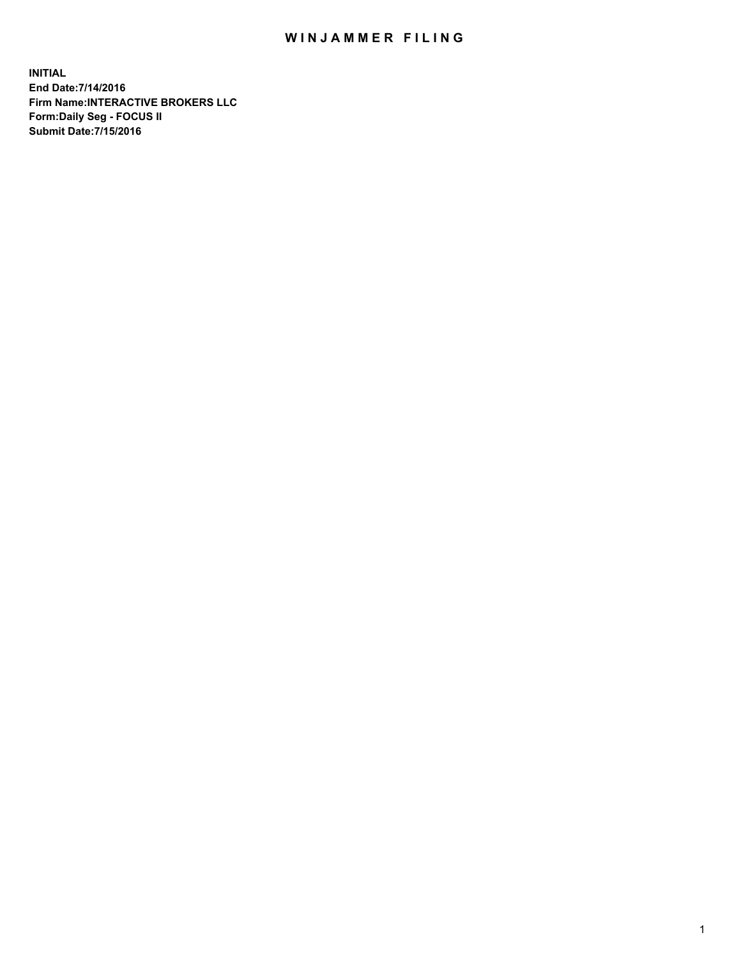## WIN JAMMER FILING

**INITIAL End Date:7/14/2016 Firm Name:INTERACTIVE BROKERS LLC Form:Daily Seg - FOCUS II Submit Date:7/15/2016**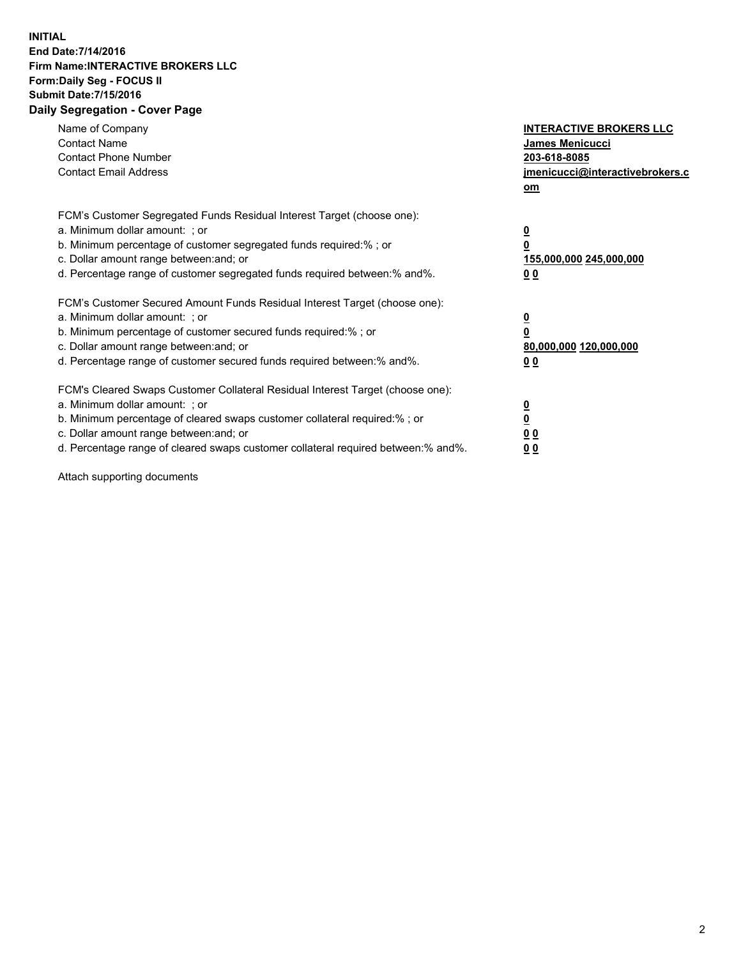## **INITIAL End Date:7/14/2016 Firm Name:INTERACTIVE BROKERS LLC Form:Daily Seg - FOCUS II Submit Date:7/15/2016 Daily Segregation - Cover Page**

| Name of Company<br><b>Contact Name</b><br><b>Contact Phone Number</b><br><b>Contact Email Address</b>                                                                                                                                                                                                                          | <b>INTERACTIVE BROKERS LLC</b><br>James Menicucci<br>203-618-8085<br>jmenicucci@interactivebrokers.c<br>om |
|--------------------------------------------------------------------------------------------------------------------------------------------------------------------------------------------------------------------------------------------------------------------------------------------------------------------------------|------------------------------------------------------------------------------------------------------------|
| FCM's Customer Segregated Funds Residual Interest Target (choose one):<br>a. Minimum dollar amount: ; or<br>b. Minimum percentage of customer segregated funds required:%; or<br>c. Dollar amount range between: and; or<br>d. Percentage range of customer segregated funds required between:% and%.                          | $\overline{\mathbf{0}}$<br>0<br>155,000,000 245,000,000<br>0 <sub>0</sub>                                  |
| FCM's Customer Secured Amount Funds Residual Interest Target (choose one):<br>a. Minimum dollar amount: ; or<br>b. Minimum percentage of customer secured funds required:%; or<br>c. Dollar amount range between: and; or<br>d. Percentage range of customer secured funds required between:% and%.                            | $\overline{\mathbf{0}}$<br>$\overline{\mathbf{0}}$<br>80,000,000 120,000,000<br>00                         |
| FCM's Cleared Swaps Customer Collateral Residual Interest Target (choose one):<br>a. Minimum dollar amount: ; or<br>b. Minimum percentage of cleared swaps customer collateral required:% ; or<br>c. Dollar amount range between: and; or<br>d. Percentage range of cleared swaps customer collateral required between:% and%. | $\overline{\mathbf{0}}$<br>$\overline{\mathbf{0}}$<br>0 <sub>0</sub><br><u>00</u>                          |

Attach supporting documents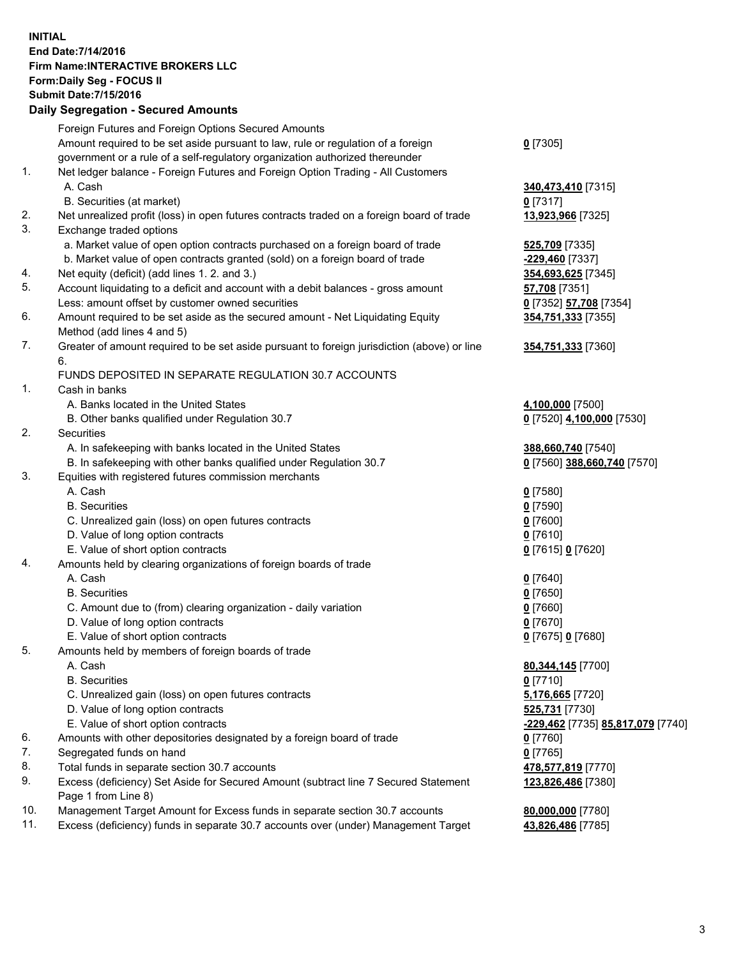## **INITIAL End Date:7/14/2016 Firm Name:INTERACTIVE BROKERS LLC Form:Daily Seg - FOCUS II Submit Date:7/15/2016 Daily Segregation - Secured Amounts**

|                | Dany Ocgregation - Oceanea Amounts                                                          |                                                       |
|----------------|---------------------------------------------------------------------------------------------|-------------------------------------------------------|
|                | Foreign Futures and Foreign Options Secured Amounts                                         |                                                       |
|                | Amount required to be set aside pursuant to law, rule or regulation of a foreign            | $0$ [7305]                                            |
|                | government or a rule of a self-regulatory organization authorized thereunder                |                                                       |
| 1.             | Net ledger balance - Foreign Futures and Foreign Option Trading - All Customers             |                                                       |
|                | A. Cash                                                                                     | 340,473,410 [7315]                                    |
|                | B. Securities (at market)                                                                   | 0 [7317]                                              |
| 2.             | Net unrealized profit (loss) in open futures contracts traded on a foreign board of trade   | 13,923,966 [7325]                                     |
| 3.             | Exchange traded options                                                                     |                                                       |
|                | a. Market value of open option contracts purchased on a foreign board of trade              | 525,709 [7335]                                        |
|                | b. Market value of open contracts granted (sold) on a foreign board of trade                | -229,460 [7337]                                       |
| 4.             | Net equity (deficit) (add lines 1.2. and 3.)                                                | 354,693,625 [7345]                                    |
| 5.             | Account liquidating to a deficit and account with a debit balances - gross amount           | 57,708 [7351]                                         |
|                | Less: amount offset by customer owned securities                                            | 0 [7352] 57,708 [7354]                                |
| 6.             | Amount required to be set aside as the secured amount - Net Liquidating Equity              |                                                       |
|                |                                                                                             | 354,751,333 [7355]                                    |
| 7.             | Method (add lines 4 and 5)                                                                  |                                                       |
|                | Greater of amount required to be set aside pursuant to foreign jurisdiction (above) or line | 354,751,333 [7360]                                    |
|                | 6.                                                                                          |                                                       |
| $\mathbf{1}$ . | FUNDS DEPOSITED IN SEPARATE REGULATION 30.7 ACCOUNTS                                        |                                                       |
|                | Cash in banks                                                                               |                                                       |
|                | A. Banks located in the United States                                                       | 4,100,000 [7500]                                      |
|                | B. Other banks qualified under Regulation 30.7                                              | 0 [7520] 4,100,000 [7530]                             |
| 2.             | <b>Securities</b>                                                                           |                                                       |
|                | A. In safekeeping with banks located in the United States                                   | 388,660,740 [7540]                                    |
|                | B. In safekeeping with other banks qualified under Regulation 30.7                          | 0 [7560] 388,660,740 [7570]                           |
| 3.             | Equities with registered futures commission merchants                                       |                                                       |
|                | A. Cash                                                                                     | $0$ [7580]                                            |
|                | <b>B.</b> Securities                                                                        | $0$ [7590]                                            |
|                | C. Unrealized gain (loss) on open futures contracts                                         | $0$ [7600]                                            |
|                | D. Value of long option contracts                                                           | $0$ [7610]                                            |
|                | E. Value of short option contracts                                                          | 0 [7615] 0 [7620]                                     |
| 4.             | Amounts held by clearing organizations of foreign boards of trade                           |                                                       |
|                | A. Cash                                                                                     | $0$ [7640]                                            |
|                | <b>B.</b> Securities                                                                        | $0$ [7650]                                            |
|                | C. Amount due to (from) clearing organization - daily variation                             | $0$ [7660]                                            |
|                | D. Value of long option contracts                                                           | $0$ [7670]                                            |
|                | E. Value of short option contracts                                                          | 0 [7675] 0 [7680]                                     |
| 5.             | Amounts held by members of foreign boards of trade                                          |                                                       |
|                | A. Cash                                                                                     | 80,344,145 [7700]                                     |
|                | <b>B.</b> Securities                                                                        | $0$ [7710]                                            |
|                | C. Unrealized gain (loss) on open futures contracts                                         | 5,176,665 [7720]                                      |
|                | D. Value of long option contracts                                                           | 525,731 [7730]                                        |
|                | E. Value of short option contracts                                                          | <mark>-229,462</mark> [7735] <b>85,817,079</b> [7740] |
| 6.             | Amounts with other depositories designated by a foreign board of trade                      | 0 [7760]                                              |
| 7.             | Segregated funds on hand                                                                    | $0$ [7765]                                            |
| 8.             | Total funds in separate section 30.7 accounts                                               | 478,577,819 [7770]                                    |
| 9.             | Excess (deficiency) Set Aside for Secured Amount (subtract line 7 Secured Statement         | 123,826,486 [7380]                                    |
|                | Page 1 from Line 8)                                                                         |                                                       |
| 10.            | Management Target Amount for Excess funds in separate section 30.7 accounts                 | 80,000,000 [7780]                                     |
| 11.            | Excess (deficiency) funds in separate 30.7 accounts over (under) Management Target          | 43,826,486 [7785]                                     |
|                |                                                                                             |                                                       |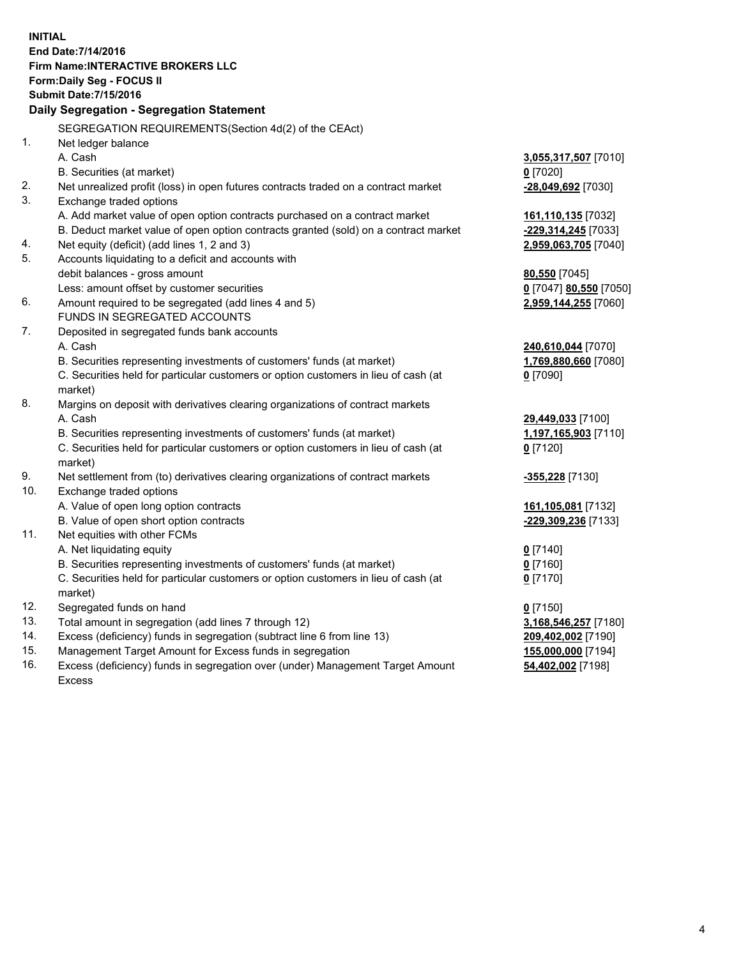**INITIAL End Date:7/14/2016 Firm Name:INTERACTIVE BROKERS LLC Form:Daily Seg - FOCUS II Submit Date:7/15/2016 Daily Segregation - Segregation Statement** SEGREGATION REQUIREMENTS(Section 4d(2) of the CEAct) 1. Net ledger balance A. Cash **3,055,317,507** [7010] B. Securities (at market) **0** [7020] 2. Net unrealized profit (loss) in open futures contracts traded on a contract market **-28,049,692** [7030] 3. Exchange traded options A. Add market value of open option contracts purchased on a contract market **161,110,135** [7032] B. Deduct market value of open option contracts granted (sold) on a contract market **-229,314,245** [7033] 4. Net equity (deficit) (add lines 1, 2 and 3) **2,959,063,705** [7040] 5. Accounts liquidating to a deficit and accounts with debit balances - gross amount **80,550** [7045] Less: amount offset by customer securities **0** [7047] **80,550** [7050] 6. Amount required to be segregated (add lines 4 and 5) **2,959,144,255** [7060] FUNDS IN SEGREGATED ACCOUNTS 7. Deposited in segregated funds bank accounts A. Cash **240,610,044** [7070] B. Securities representing investments of customers' funds (at market) **1,769,880,660** [7080] C. Securities held for particular customers or option customers in lieu of cash (at market) **0** [7090] 8. Margins on deposit with derivatives clearing organizations of contract markets A. Cash **29,449,033** [7100] B. Securities representing investments of customers' funds (at market) **1,197,165,903** [7110] C. Securities held for particular customers or option customers in lieu of cash (at market) **0** [7120] 9. Net settlement from (to) derivatives clearing organizations of contract markets **-355,228** [7130] 10. Exchange traded options A. Value of open long option contracts **161,105,081** [7132] B. Value of open short option contracts **-229,309,236** [7133] 11. Net equities with other FCMs A. Net liquidating equity **0** [7140] B. Securities representing investments of customers' funds (at market) **0** [7160] C. Securities held for particular customers or option customers in lieu of cash (at market) **0** [7170] 12. Segregated funds on hand **0** [7150] 13. Total amount in segregation (add lines 7 through 12) **3,168,546,257** [7180] 14. Excess (deficiency) funds in segregation (subtract line 6 from line 13) **209,402,002** [7190] 15. Management Target Amount for Excess funds in segregation **155,000,000** [7194] **54,402,002** [7198]

16. Excess (deficiency) funds in segregation over (under) Management Target Amount Excess